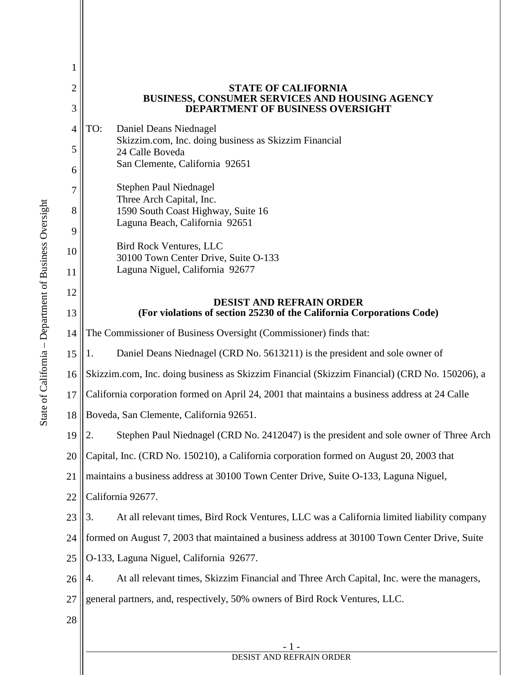| 1              |                                                                                                 |
|----------------|-------------------------------------------------------------------------------------------------|
| $\overline{2}$ | <b>STATE OF CALIFORNIA</b><br>BUSINESS, CONSUMER SERVICES AND HOUSING AGENCY                    |
| 3              | <b>DEPARTMENT OF BUSINESS OVERSIGHT</b>                                                         |
| $\overline{4}$ | TO:<br>Daniel Deans Niednagel<br>Skizzim.com, Inc. doing business as Skizzim Financial          |
| 5              | 24 Calle Boveda                                                                                 |
| 6              | San Clemente, California 92651                                                                  |
| 7              | <b>Stephen Paul Niednagel</b><br>Three Arch Capital, Inc.                                       |
| 8              | 1590 South Coast Highway, Suite 16                                                              |
| 9              | Laguna Beach, California 92651                                                                  |
| 10             | <b>Bird Rock Ventures, LLC</b><br>30100 Town Center Drive, Suite O-133                          |
| 11             | Laguna Niguel, California 92677                                                                 |
| 12             | <b>DESIST AND REFRAIN ORDER</b>                                                                 |
| 13             | (For violations of section 25230 of the California Corporations Code)                           |
| 14             | The Commissioner of Business Oversight (Commissioner) finds that:                               |
| 15             | Daniel Deans Niednagel (CRD No. 5613211) is the president and sole owner of<br>1.               |
| 16             | Skizzim.com, Inc. doing business as Skizzim Financial (Skizzim Financial) (CRD No. 150206), a   |
| 17             | California corporation formed on April 24, 2001 that maintains a business address at 24 Calle   |
| 18             | Boveda, San Clemente, California 92651.                                                         |
| 19             | Stephen Paul Niednagel (CRD No. 2412047) is the president and sole owner of Three Arch<br>2.    |
| 20             | Capital, Inc. (CRD No. 150210), a California corporation formed on August 20, 2003 that         |
| 21             | maintains a business address at 30100 Town Center Drive, Suite O-133, Laguna Niguel,            |
| 22             | California 92677.                                                                               |
| 23             | At all relevant times, Bird Rock Ventures, LLC was a California limited liability company<br>3. |
| 24             | formed on August 7, 2003 that maintained a business address at 30100 Town Center Drive, Suite   |
| 25             | O-133, Laguna Niguel, California 92677.                                                         |
| 26             | At all relevant times, Skizzim Financial and Three Arch Capital, Inc. were the managers,<br>4.  |
| 27             | general partners, and, respectively, 50% owners of Bird Rock Ventures, LLC.                     |
| 28             |                                                                                                 |
|                | - 1 -                                                                                           |

## DESIST AND REFRAIN ORDER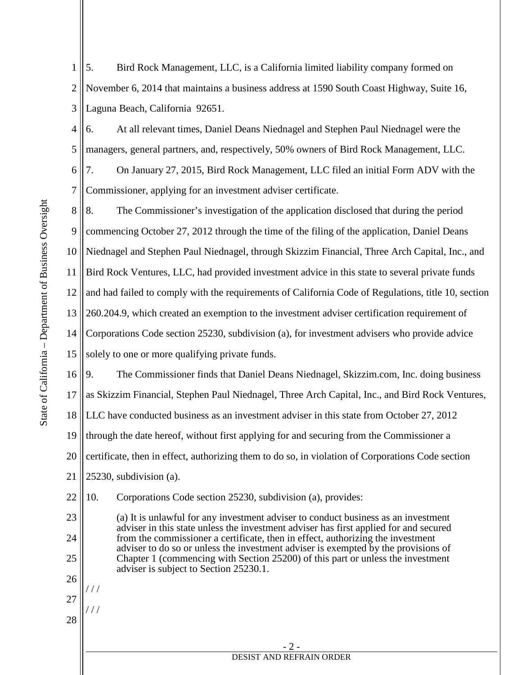1 2 3 5. Bird Rock Management, LLC, is a California limited liability company formed on November 6, 2014 that maintains a business address at 1590 South Coast Highway, Suite 16, Laguna Beach, California 92651.

4 5 6 6. At all relevant times, Daniel Deans Niednagel and Stephen Paul Niednagel were the managers, general partners, and, respectively, 50% owners of Bird Rock Management, LLC. 7. On January 27, 2015, Bird Rock Management, LLC filed an initial Form ADV with the

Commissioner, applying for an investment adviser certificate.

8 9 10 11 12 13 14 15 16 17 18 19 20 8. The Commissioner's investigation of the application disclosed that during the period commencing October 27, 2012 through the time of the filing of the application, Daniel Deans Niednagel and Stephen Paul Niednagel, through Skizzim Financial, Three Arch Capital, Inc., and Bird Rock Ventures, LLC, had provided investment advice in this state to several private funds and had failed to comply with the requirements of California Code of Regulations, title 10, section 260.204.9, which created an exemption to the investment adviser certification requirement of Corporations Code section 25230, subdivision (a), for investment advisers who provide advice solely to one or more qualifying private funds. 9. The Commissioner finds that Daniel Deans Niednagel, Skizzim.com, Inc. doing business as Skizzim Financial, Stephen Paul Niednagel, Three Arch Capital, Inc., and Bird Rock Ventures, LLC have conducted business as an investment adviser in this state from October 27, 2012 through the date hereof, without first applying for and securing from the Commissioner a certificate, then in effect, authorizing them to do so, in violation of Corporations Code section

21 25230, subdivision (a).

22 10. Corporations Code section 25230, subdivision (a), provides:

> (a) It is unlawful for any investment adviser to conduct business as an investment adviser in this state unless the investment adviser has first applied for and secured from the commissioner a certificate, then in effect, authorizing the investment adviser to do so or unless the investment adviser is exempted by the provisions of Chapter 1 (commencing with Section 25200) of this part or unless the investment adviser is subject to Section 25230.1.

25 26 27

23

24

28

/ / /

/ / /

7